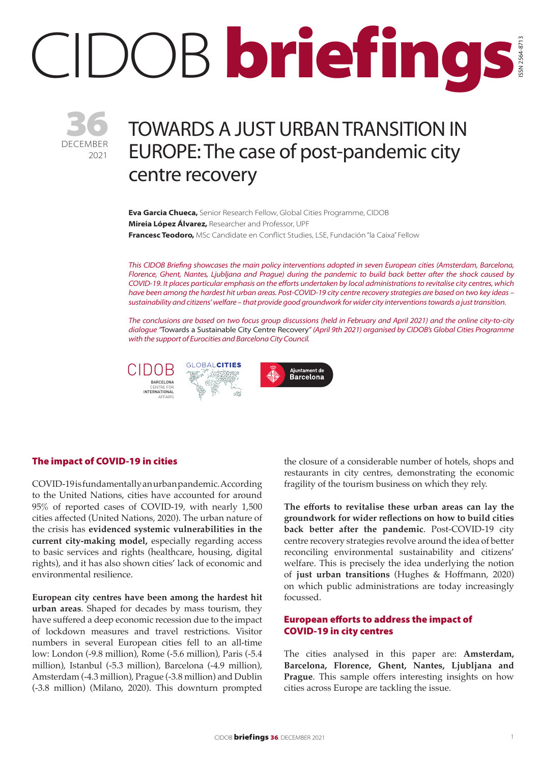# CIDOB briefings ISSN 2564-8713



# TOWARDS A JUST URBAN TRANSITION IN EUROPE: The case of post-pandemic city centre recovery

**Eva Garcia Chueca,** Senior Research Fellow, Global Cities Programme, CIDOB **Mireia López Álvarez,** Researcher and Professor, UPF **Francesc Teodoro,** MSc Candidate en Conflict Studies, LSE, Fundación "la Caixa" Fellow

*This CIDOB Briefing showcases the main policy interventions adopted in seven European cities (Amsterdam, Barcelona, Florence, Ghent, Nantes, Ljubljana and Prague) during the pandemic to build back better after the shock caused by COVID-19. It places particular emphasis on the efforts undertaken by local administrations to revitalise city centres, which have been among the hardest hit urban areas. Post-COVID-19 city centre recovery strategies are based on two key ideas – sustainability and citizens' welfare – that provide good groundwork for wider city interventions towards a just transition.* 

*The conclusions are based on two focus group discussions (held in February and April 2021) and the online city-to-city dialogue "*Towards a Sustainable City Centre Recovery*" (April 9th 2021) organised by CIDOB's Global Cities Programme with the support of Eurocities and Barcelona City Council.*

CIDOBBARCELONA CENTRE FOR INTERNATIONAL AFFAIRS





# The impact of COVID-19 in cities

COVID-19 is fundamentally an urban pandemic. According to the United Nations, cities have accounted for around 95% of reported cases of COVID-19, with nearly 1,500 cities affected (United Nations, 2020). The urban nature of the crisis has **evidenced systemic vulnerabilities in the current city-making model,** especially regarding access to basic services and rights (healthcare, housing, digital rights), and it has also shown cities' lack of economic and environmental resilience.

**European city centres have been among the hardest hit urban areas**. Shaped for decades by mass tourism, they have suffered a deep economic recession due to the impact of lockdown measures and travel restrictions. Visitor numbers in several European cities fell to an all-time low: London (-9.8 million), Rome (-5.6 million), Paris (-5.4 million), Istanbul (-5.3 million), Barcelona (-4.9 million), Amsterdam (-4.3 million), Prague (-3.8 million) and Dublin (-3.8 million) (Milano, 2020). This downturn prompted the closure of a considerable number of hotels, shops and restaurants in city centres, demonstrating the economic fragility of the tourism business on which they rely.

**The efforts to revitalise these urban areas can lay the groundwork for wider reflections on how to build cities back better after the pandemic**. Post-COVID-19 city centre recovery strategies revolve around the idea of better reconciling environmental sustainability and citizens' welfare. This is precisely the idea underlying the notion of **just urban transitions** (Hughes & Hoffmann, 2020) on which public administrations are today increasingly focussed.

#### European efforts to address the impact of COVID-19 in city centres

The cities analysed in this paper are: **Amsterdam, Barcelona, Florence, Ghent, Nantes, Ljubljana and Prague**. This sample offers interesting insights on how cities across Europe are tackling the issue.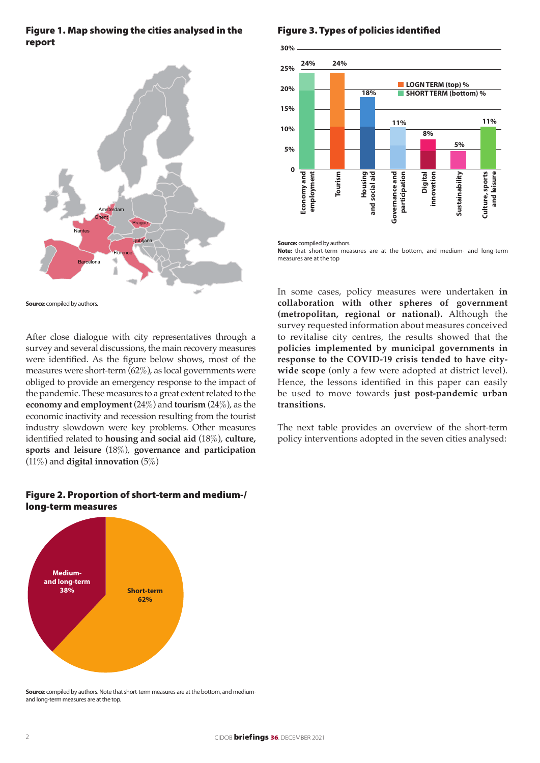## Figure 1. Map showing the cities analysed in the report



**Source:** compiled by authors.

After close dialogue with city representatives through a survey and several discussions, the main recovery measures were identified. As the figure below shows, most of the measures were short-term (62%), as local governments were obliged to provide an emergency response to the impact of the pandemic. These measures to a great extent related to the **economy and employment** (24%) and **tourism** (24%), as the economic inactivity and recession resulting from the tourist industry slowdown were key problems. Other measures identified related to **housing and social aid** (18%), **culture, sports and leisure** (18%), **governance and participation** (11%) and **digital innovation** (5%)

# Figure 2. Proportion of short-term and medium-/ long-term measures



**Source**: compiled by authors. Note that short-term measures are at the bottom, and mediumand long-term measures are at the top.

# Figure 3. Types of policies identified



**Source:** compiled by authors.

**Note:** that short-term measures are at the bottom, and medium- and long-term measures are at the top

In some cases, policy measures were undertaken **in collaboration with other spheres of government (metropolitan, regional or national).** Although the survey requested information about measures conceived to revitalise city centres, the results showed that the **policies implemented by municipal governments in response to the COVID-19 crisis tended to have citywide scope** (only a few were adopted at district level). Hence, the lessons identified in this paper can easily be used to move towards **just post-pandemic urban transitions.**

The next table provides an overview of the short-term policy interventions adopted in the seven cities analysed: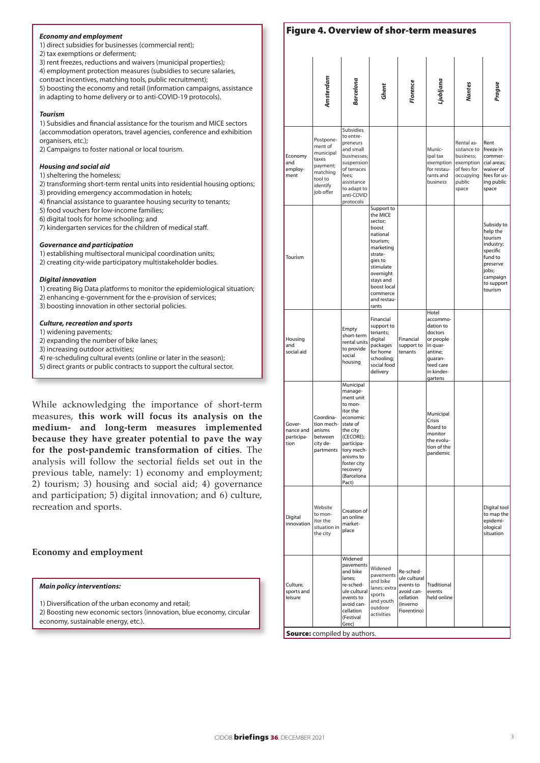#### *Economy and employment*

1) direct subsidies for businesses (commercial rent);

2) tax exemptions or deferment;

3) rent freezes, reductions and waivers (municipal properties); 4) employment protection measures (subsidies to secure salaries, contract incentives, matching tools, public recruitment);

5) boosting the economy and retail (information campaigns, assistance

in adapting to home delivery or to anti-COVID-19 protocols).

#### *Tourism*

1) Subsidies and financial assistance for the tourism and MICE sectors (accommodation operators, travel agencies, conference and exhibition organisers, etc.);

2) Campaigns to foster national or local tourism.

#### *Housing and social aid*

1) sheltering the homeless;

- 2) transforming short-term rental units into residential housing options;
- 3) providing emergency accommodation in hotels;
- 4) financial assistance to guarantee housing security to tenants;
- 5) food vouchers for low-income families;
- 6) digital tools for home schooling; and
- 7) kindergarten services for the children of medical staff.

#### *Governance and participation*

1) establishing multisectoral municipal coordination units;

2) creating city-wide participatory multistakeholder bodies.

#### *Digital innovation*

- 1) creating Big Data platforms to monitor the epidemiological situation;
- 2) enhancing e-government for the e-provision of services;

3) boosting innovation in other sectorial policies.

#### *Culture, recreation and sports*

- 1) widening pavements;
- 2) expanding the number of bike lanes;
- 3) increasing outdoor activities;
- 4) re-scheduling cultural events (online or later in the season);
- 5) direct grants or public contracts to support the cultural sector.

While acknowledging the importance of short-term measures, **this work will focus its analysis on the medium- and long-term measures implemented because they have greater potential to pave the way for the post-pandemic transformation of cities**. The analysis will follow the sectorial fields set out in the previous table, namely: 1) economy and employment; 2) tourism; 3) housing and social aid; 4) governance and participation; 5) digital innovation; and 6) culture, recreation and sports.

#### **Economy and employment**

#### *Main policy interventions:*

1) Diversification of the urban economy and retail;

2) Boosting new economic sectors (innovation, blue economy, circular economy, sustainable energy, etc.).

|                                           | Amsterdam                                                                                              | Barcelona                                                                                                                                                                                            | Ghent                                                                                                                                                                                           | Florence                                                                                     | jubljana                                                                                                                       | Nantes                                                                                             | Prague                                                                                                                          |
|-------------------------------------------|--------------------------------------------------------------------------------------------------------|------------------------------------------------------------------------------------------------------------------------------------------------------------------------------------------------------|-------------------------------------------------------------------------------------------------------------------------------------------------------------------------------------------------|----------------------------------------------------------------------------------------------|--------------------------------------------------------------------------------------------------------------------------------|----------------------------------------------------------------------------------------------------|---------------------------------------------------------------------------------------------------------------------------------|
| Economy<br>and<br>employ-<br>ment         | Postpone-<br>ment of<br>municipal<br>taxes<br>payment;<br>matching<br>tool to<br>identify<br>job offer | Subsidies<br>to entre-<br>preneurs<br>and small<br>businesses:<br>suspension<br>of terraces<br>fees:<br>assistance<br>to adapt to<br>anti-COVID<br>protocols                                         |                                                                                                                                                                                                 |                                                                                              | Munic-<br>ipal tax<br>exemption<br>for restau-<br>rants and<br>business                                                        | Rental as-<br>sistance to<br>business;<br>exemption<br>of fees for<br>occupying<br>public<br>space | Rent<br>freeze in<br>commer-<br>cial areas;<br>waiver of<br>fees for us-<br>ing public<br>space                                 |
| Tourism                                   |                                                                                                        |                                                                                                                                                                                                      | Support to<br>the MICE<br>sector;<br>boost<br>national<br>tourism;<br>marketing<br>strate-<br>gies to<br>stimulate<br>overnight<br>stays and<br>boost local<br>commerce<br>and restau-<br>rants |                                                                                              |                                                                                                                                |                                                                                                    | Subsidy to<br>help the<br>tourism<br>industry;<br>specific<br>fund to<br>preserve<br>jobs;<br>campaign<br>to support<br>tourism |
| Housing<br>and<br>social aid              |                                                                                                        | Empty<br>short-term<br>rental units<br>to provide<br>social<br>housing                                                                                                                               | Financial<br>support to<br>tenants;<br>digital<br>packages<br>for home<br>schooling;<br>social food<br>delivery                                                                                 | Financial<br>support to<br>tenants                                                           | Hotel<br>accommo-<br>dation to<br>doctors<br>or people<br>in quar-<br>antine;<br>guaran-<br>teed care<br>in kinder-<br>gartens |                                                                                                    |                                                                                                                                 |
| Gover-<br>nance and<br>participa-<br>tion | Coordina-<br>tion mech-<br>anisms<br>between<br>city de-<br>partments                                  | Municipal<br>manage-<br>ment unit<br>to mon-<br>itor the<br>economic<br>state of<br>the city<br>(CECORE);<br>participa-<br>tory mech-<br>anisms to<br>foster city<br>recovery<br>(Barcelona<br>Pact) |                                                                                                                                                                                                 |                                                                                              | Municipal<br>Crisis<br>Board to<br>monitor<br>the evolu-<br>tion of the<br>pandemic                                            |                                                                                                    |                                                                                                                                 |
| Digital<br>innovation                     | Website<br>to mon-<br>itor the<br>situation in<br>the city                                             | Creation of<br>an online<br>market-<br>place                                                                                                                                                         |                                                                                                                                                                                                 |                                                                                              |                                                                                                                                |                                                                                                    | Digital tool<br>to map the<br>epidemi-<br>ological<br>situation                                                                 |
| Culture,<br>sports and<br>leisure         |                                                                                                        | Widened<br>pavements<br>and bike<br>lanes;<br>re-sched-<br>ule cultural<br>events to<br>avoid can-<br>cellation<br>(Festival<br>Grec)                                                                | Widened<br>pavements<br>and bike<br>lanes; extra<br>sports<br>and youth<br>outdoor<br>activities                                                                                                | Re-sched-<br>ule cultural<br>events to<br>avoid can-<br>cellation<br>(Inverno<br>Fiorentino) | Traditional<br>events<br>held online                                                                                           |                                                                                                    |                                                                                                                                 |

Figure 4. Overview of shor-term measures

Source: compiled by authors.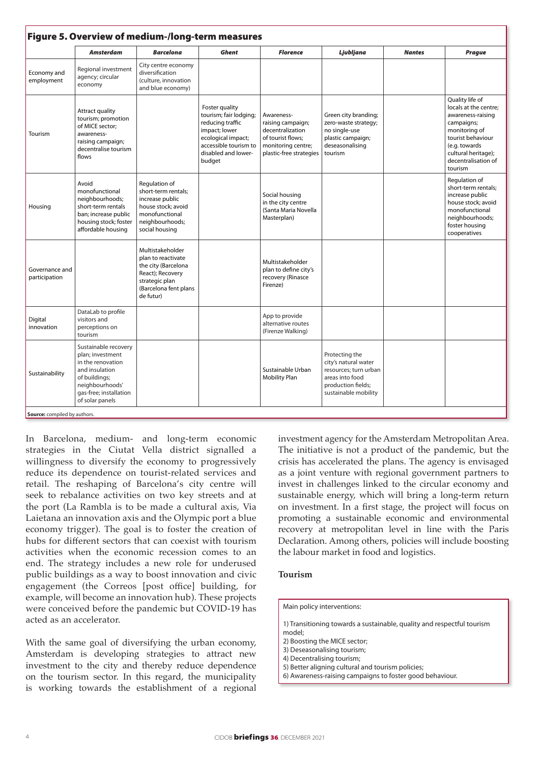| Figure 5. Overview of medium-/long-term measures |                                                                                                                                                                  |                                                                                                                                           |                                                                                                                                                               |                                                                                                                           |                                                                                                                                  |               |                                                                                                                                                                                             |  |  |  |  |
|--------------------------------------------------|------------------------------------------------------------------------------------------------------------------------------------------------------------------|-------------------------------------------------------------------------------------------------------------------------------------------|---------------------------------------------------------------------------------------------------------------------------------------------------------------|---------------------------------------------------------------------------------------------------------------------------|----------------------------------------------------------------------------------------------------------------------------------|---------------|---------------------------------------------------------------------------------------------------------------------------------------------------------------------------------------------|--|--|--|--|
|                                                  | Amsterdam                                                                                                                                                        | <b>Barcelona</b>                                                                                                                          | Ghent                                                                                                                                                         | <b>Florence</b>                                                                                                           | Ljubljana                                                                                                                        | <b>Nantes</b> | <b>Prague</b>                                                                                                                                                                               |  |  |  |  |
| Economy and<br>employment                        | Regional investment<br>agency; circular<br>economy                                                                                                               | City centre economy<br>diversification<br>(culture, innovation<br>and blue economy)                                                       |                                                                                                                                                               |                                                                                                                           |                                                                                                                                  |               |                                                                                                                                                                                             |  |  |  |  |
| Tourism                                          | Attract quality<br>tourism; promotion<br>of MICE sector;<br>awareness-<br>raising campaign;<br>decentralise tourism<br>flows                                     |                                                                                                                                           | Foster quality<br>tourism; fair lodging;<br>reducing traffic<br>impact; lower<br>ecological impact;<br>accessible tourism to<br>disabled and lower-<br>budget | Awareness-<br>raising campaign;<br>decentralization<br>of tourist flows;<br>monitoring centre;<br>plastic-free strategies | Green city branding;<br>zero-waste strategy;<br>no single-use<br>plastic campaign;<br>deseasonalising<br>tourism                 |               | Quality life of<br>locals at the centre:<br>awareness-raising<br>campaigns;<br>monitoring of<br>tourist behaviour<br>(e.g. towards<br>cultural heritage);<br>decentralisation of<br>tourism |  |  |  |  |
| Housing                                          | Avoid<br>monofunctional<br>neighbourhoods;<br>short-term rentals<br>ban; increase public<br>housing stock; foster<br>affordable housing                          | Regulation of<br>short-term rentals;<br>increase public<br>house stock; avoid<br>monofunctional<br>neighbourhoods;<br>social housing      |                                                                                                                                                               | Social housing<br>in the city centre<br>(Santa Maria Novella<br>Masterplan)                                               |                                                                                                                                  |               | Regulation of<br>short-term rentals;<br>increase public<br>house stock; avoid<br>monofunctional<br>neighbourhoods;<br>foster housing<br>cooperatives                                        |  |  |  |  |
| Governance and<br>participation                  |                                                                                                                                                                  | Multistakeholder<br>plan to reactivate<br>the city (Barcelona<br>React); Recovery<br>strategic plan<br>(Barcelona fent plans<br>de futur) |                                                                                                                                                               | Multistakeholder<br>plan to define city's<br>recovery (Rinasce<br>Firenze)                                                |                                                                                                                                  |               |                                                                                                                                                                                             |  |  |  |  |
| Digital<br>innovation                            | DataLab to profile<br>visitors and<br>perceptions on<br>tourism                                                                                                  |                                                                                                                                           |                                                                                                                                                               | App to provide<br>alternative routes<br>(Firenze Walking)                                                                 |                                                                                                                                  |               |                                                                                                                                                                                             |  |  |  |  |
| Sustainability                                   | Sustainable recovery<br>plan: investment<br>in the renovation<br>and insulation<br>of buildings;<br>neighbourhoods'<br>gas-free; installation<br>of solar panels |                                                                                                                                           |                                                                                                                                                               | Sustainable Urban<br>Mobility Plan                                                                                        | Protecting the<br>city's natural water<br>resources: turn urban<br>areas into food<br>production fields;<br>sustainable mobility |               |                                                                                                                                                                                             |  |  |  |  |

In Barcelona, medium- and long-term economic strategies in the Ciutat Vella district signalled a willingness to diversify the economy to progressively reduce its dependence on tourist-related services and retail. The reshaping of Barcelona's city centre will seek to rebalance activities on two key streets and at the port (La Rambla is to be made a cultural axis, Via Laietana an innovation axis and the Olympic port a blue economy trigger). The goal is to foster the creation of hubs for different sectors that can coexist with tourism activities when the economic recession comes to an end. The strategy includes a new role for underused public buildings as a way to boost innovation and civic engagement (the Correos [post office] building, for example, will become an innovation hub). These projects were conceived before the pandemic but COVID-19 has acted as an accelerator.

With the same goal of diversifying the urban economy, Amsterdam is developing strategies to attract new investment to the city and thereby reduce dependence on the tourism sector. In this regard, the municipality is working towards the establishment of a regional

investment agency for the Amsterdam Metropolitan Area. The initiative is not a product of the pandemic, but the crisis has accelerated the plans. The agency is envisaged as a joint venture with regional government partners to invest in challenges linked to the circular economy and sustainable energy, which will bring a long-term return on investment. In a first stage, the project will focus on promoting a sustainable economic and environmental recovery at metropolitan level in line with the [Paris](https://www.oecd.org/dac/effectiveness/parisdeclarationandaccraagendaforaction.html) [Declaration.](https://www.oecd.org/dac/effectiveness/parisdeclarationandaccraagendaforaction.html) Among others, policies will include boosting the labour market in food and logistics.

#### **Tourism**

#### Main policy interventions:

- 1) Transitioning towards a sustainable, quality and respectful tourism model;
- 2) Boosting the MICE sector;
- 3) Deseasonalising tourism;
- 4) Decentralising tourism;
- 5) Better aligning cultural and tourism policies;
- 6) Awareness-raising campaigns to foster good behaviour.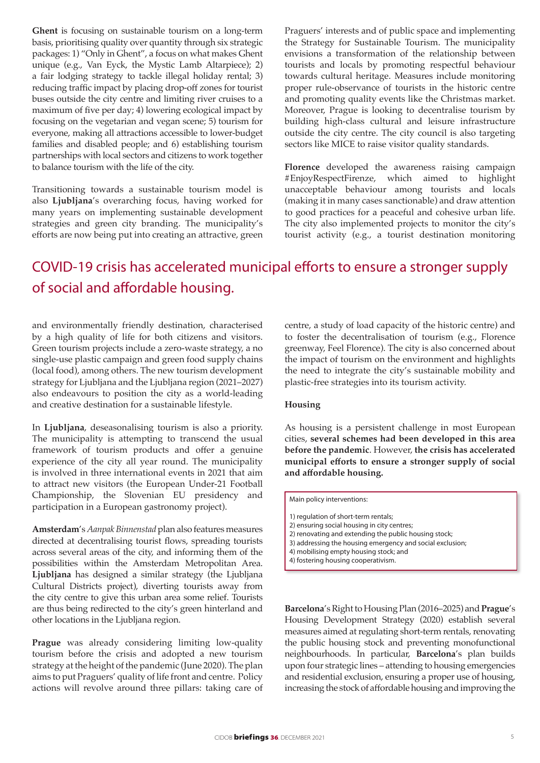**Ghent** is focusing on sustainable tourism on a long-term basis, prioritising quality over quantity through six strategic packages: 1) "Only in Ghent", a focus on what makes Ghent unique (e.g., Van Eyck, the Mystic Lamb Altarpiece); 2) a fair lodging strategy to tackle illegal holiday rental; 3) reducing traffic impact by placing drop-off zones for tourist buses outside the city centre and limiting river cruises to a maximum of five per day; 4) lowering ecological impact by focusing on the vegetarian and vegan scene; 5) tourism for everyone, making all attractions accessible to lower-budget families and disabled people; and 6) establishing tourism partnerships with local sectors and citizens to work together to balance tourism with the life of the city.

Transitioning towards a sustainable tourism model is also **Ljubljana**'s overarching focus, having worked for many years on implementing sustainable development strategies and green city branding. The municipality's efforts are now being put into creating an attractive, green Praguers' interests and of public space and implementing the Strategy for Sustainable Tourism. The municipality envisions a transformation of the relationship between tourists and locals by promoting respectful behaviour towards cultural heritage. Measures include monitoring proper rule-observance of tourists in the historic centre and promoting quality events like the Christmas market. Moreover, Prague is looking to decentralise tourism by building high-class cultural and leisure infrastructure outside the city centre. The city council is also targeting sectors like MICE to raise visitor quality standards.

**Florence** developed the awareness raising campaign #EnjoyRespectFirenze, which aimed to highlight unacceptable behaviour among tourists and locals (making it in many cases sanctionable) and draw attention to good practices for a peaceful and cohesive urban life. The city also implemented projects to monitor the city's tourist activity (e.g., a tourist destination monitoring

# COVID-19 crisis has accelerated municipal efforts to ensure a stronger supply of social and affordable housing.

and environmentally friendly destination, characterised by a high quality of life for both citizens and visitors. Green tourism projects include a zero-waste strategy, a no single-use plastic campaign and green food supply chains (local food), among others. The new tourism development strategy for Ljubljana and the Ljubljana region (2021–2027) also endeavours to position the city as a world-leading and creative destination for a sustainable lifestyle.

In **Ljubljana**, deseasonalising tourism is also a priority. The municipality is attempting to transcend the usual framework of tourism products and offer a genuine experience of the city all year round. The municipality is involved in three international events in 2021 that aim to attract new visitors (the European Under-21 Football Championship, the Slovenian EU presidency and participation in a European gastronomy project).

**Amsterdam**'s *Aanpak Binnenstad* plan also features measures directed at decentralising tourist flows, spreading tourists across several areas of the city, and informing them of the possibilities within the Amsterdam Metropolitan Area. **Ljubljana** has designed a similar strategy (the Ljubljana Cultural Districts project), diverting tourists away from the city centre to give this urban area some relief. Tourists are thus being redirected to the city's green hinterland and other locations in the Ljubljana region.

Prague was already considering limiting low-quality tourism before the crisis and adopted a new tourism strategy at the height of the pandemic (June 2020). The plan aims to put Praguers' quality of life front and centre. Policy actions will revolve around three pillars: taking care of centre, a study of load capacity of the historic centre) and to foster the decentralisation of tourism (e.g., Florence greenway, Feel Florence). The city is also concerned about the impact of tourism on the environment and highlights the need to integrate the city's sustainable mobility and plastic-free strategies into its tourism activity.

#### **Housing**

As housing is a persistent challenge in most European cities, **several schemes had been developed in this area before the pandemic**. However, **the crisis has accelerated municipal efforts to ensure a stronger supply of social and affordable housing.** 

Main policy interventions:

- 1) regulation of short-term rentals;
- 2) ensuring social housing in city centres;
- 2) renovating and extending the public housing stock;
- 3) addressing the housing emergency and social exclusion;
- 4) mobilising empty housing stock; and
- 4) fostering housing cooperativism.

**Barcelona**'s Right to Housing Plan (2016–2025) and **Prague**'s Housing Development Strategy (2020) establish several measures aimed at regulating short-term rentals, renovating the public housing stock and preventing monofunctional neighbourhoods. In particular, **Barcelona**'s plan builds upon four strategic lines – attending to housing emergencies and residential exclusion, ensuring a proper use of housing, increasing the stock of affordable housing and improving the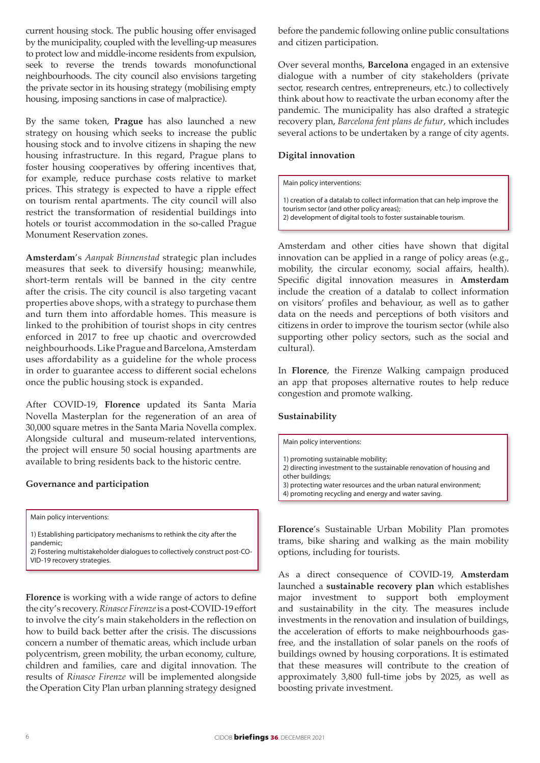current housing stock. The public housing offer envisaged by the municipality, coupled with the levelling-up measures to protect low and middle-income residents from expulsion, seek to reverse the trends towards monofunctional neighbourhoods. The city council also envisions targeting the private sector in its housing strategy (mobilising empty housing, imposing sanctions in case of malpractice).

By the same token, **Prague** has also launched a new strategy on housing which seeks to increase the public housing stock and to involve citizens in shaping the new housing infrastructure. In this regard, Prague plans to foster housing cooperatives by offering incentives that, for example, reduce purchase costs relative to market prices. This strategy is expected to have a ripple effect on tourism rental apartments. The city council will also restrict the transformation of residential buildings into hotels or tourist accommodation in the so-called Prague Monument Reservation zones.

**Amsterdam**'s *Aanpak Binnenstad* strategic plan includes measures that seek to diversify housing; meanwhile, short-term rentals will be banned in the city centre after the crisis. The city council is also targeting vacant properties above shops, with a strategy to purchase them and turn them into affordable homes. This measure is linked to the prohibition of tourist shops in city centres enforced in 2017 to free up chaotic and overcrowded neighbourhoods. Like Prague and Barcelona, Amsterdam uses affordability as a guideline for the whole process in order to guarantee access to different social echelons once the public housing stock is expanded.

After COVID-19, **Florence** updated its Santa Maria Novella Masterplan for the regeneration of an area of 30,000 square metres in the Santa Maria Novella complex. Alongside cultural and museum-related interventions, the project will ensure 50 social housing apartments are available to bring residents back to the historic centre.

#### **Governance and participation**

Main policy interventions:

1) Establishing participatory mechanisms to rethink the city after the pandemic;

2) Fostering multistakeholder dialogues to collectively construct post-CO-VID-19 recovery strategies.

**Florence** is working with a wide range of actors to define the city's recovery. *Rinasce Firenze* is a post-COVID-19 effort to involve the city's main stakeholders in the reflection on how to build back better after the crisis. The discussions concern a number of thematic areas, which include urban polycentrism, green mobility, the urban economy, culture, children and families, care and digital innovation. The results of *Rinasce Firenze* will be implemented alongside the Operation City Plan urban planning strategy designed

before the pandemic following online public consultations and citizen participation.

Over several months, **Barcelona** engaged in an extensive dialogue with a number of city stakeholders (private sector, research centres, entrepreneurs, etc.) to collectively think about how to reactivate the urban economy after the pandemic. The municipality has also drafted a strategic recovery plan, *Barcelona fent plans de futur*, which includes several actions to be undertaken by a range of city agents.

#### **Digital innovation**

Main policy interventions:

1) creation of a datalab to collect information that can help improve the tourism sector (and other policy areas); 2) development of digital tools to foster sustainable tourism.

Amsterdam and other cities have shown that digital innovation can be applied in a range of policy areas (e.g., mobility, the circular economy, social affairs, health). Specific digital innovation measures in **Amsterdam**  include the creation of a datalab to collect information on visitors' profiles and behaviour, as well as to gather data on the needs and perceptions of both visitors and citizens in order to improve the tourism sector (while also supporting other policy sectors, such as the social and

In **Florence**, the Firenze Walking campaign produced an app that proposes alternative routes to help reduce congestion and promote walking.

#### **Sustainability**

cultural).

Main policy interventions:

- 1) promoting sustainable mobility;
- 2) directing investment to the sustainable renovation of housing and other buildings;

3) protecting water resources and the urban natural environment; 4) promoting recycling and energy and water saving.

**Florence**'s Sustainable Urban Mobility Plan promotes trams, bike sharing and walking as the main mobility options, including for tourists.

As a direct consequence of COVID-19, **Amsterdam** launched a **sustainable recovery plan** which establishes major investment to support both employment and sustainability in the city. The measures include investments in the renovation and insulation of buildings, the acceleration of efforts to make neighbourhoods gasfree, and the installation of solar panels on the roofs of buildings owned by housing corporations. It is estimated that these measures will contribute to the creation of approximately 3,800 full-time jobs by 2025, as well as boosting private investment.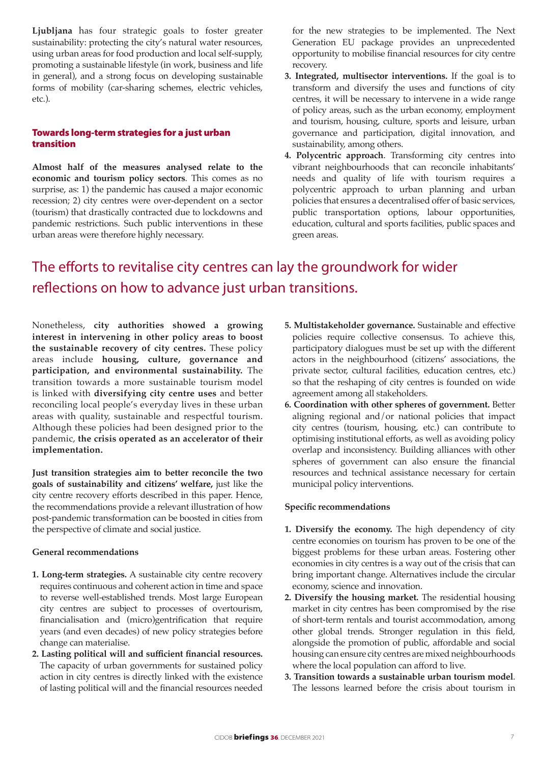**Ljubljana** has four strategic goals to foster greater sustainability: protecting the city's natural water resources, using urban areas for food production and local self-supply, promoting a sustainable lifestyle (in work, business and life in general), and a strong focus on developing sustainable forms of mobility (car-sharing schemes, electric vehicles, etc.).

# Towards long-term strategies for a just urban transition

**Almost half of the measures analysed relate to the economic and tourism policy sectors**. This comes as no surprise, as: 1) the pandemic has caused a major economic recession; 2) city centres were over-dependent on a sector (tourism) that drastically contracted due to lockdowns and pandemic restrictions. Such public interventions in these urban areas were therefore highly necessary.

for the new strategies to be implemented. The Next Generation EU package provides an unprecedented opportunity to mobilise financial resources for city centre recovery.

- **3. Integrated, multisector interventions.** If the goal is to transform and diversify the uses and functions of city centres, it will be necessary to intervene in a wide range of policy areas, such as the urban economy, employment and tourism, housing, culture, sports and leisure, urban governance and participation, digital innovation, and sustainability, among others.
- **4. Polycentric approach**. Transforming city centres into vibrant neighbourhoods that can reconcile inhabitants' needs and quality of life with tourism requires a polycentric approach to urban planning and urban policies that ensures a decentralised offer of basic services, public transportation options, labour opportunities, education, cultural and sports facilities, public spaces and green areas.

# The efforts to revitalise city centres can lay the groundwork for wider reflections on how to advance just urban transitions.

Nonetheless, **city authorities showed a growing interest in intervening in other policy areas to boost the sustainable recovery of city centres.** These policy areas include **housing, culture, governance and participation, and environmental sustainability.** The transition towards a more sustainable tourism model is linked with **diversifying city centre uses** and better reconciling local people's everyday lives in these urban areas with quality, sustainable and respectful tourism. Although these policies had been designed prior to the pandemic, **the crisis operated as an accelerator of their implementation.**

**Just transition strategies aim to better reconcile the two goals of sustainability and citizens' welfare,** just like the city centre recovery efforts described in this paper. Hence, the recommendations provide a relevant illustration of how post-pandemic transformation can be boosted in cities from the perspective of climate and social justice.

## **General recommendations**

- **1. Long-term strategies.** A sustainable city centre recovery requires continuous and coherent action in time and space to reverse well-established trends. Most large European city centres are subject to processes of overtourism, financialisation and (micro)gentrification that require years (and even decades) of new policy strategies before change can materialise.
- **2. Lasting political will and sufficient financial resources.**  The capacity of urban governments for sustained policy action in city centres is directly linked with the existence of lasting political will and the financial resources needed
- **5. Multistakeholder governance.** Sustainable and effective policies require collective consensus. To achieve this, participatory dialogues must be set up with the different actors in the neighbourhood (citizens' associations, the private sector, cultural facilities, education centres, etc.) so that the reshaping of city centres is founded on wide agreement among all stakeholders.
- **6. Coordination with other spheres of government.** Better aligning regional and/or national policies that impact city centres (tourism, housing, etc.) can contribute to optimising institutional efforts, as well as avoiding policy overlap and inconsistency. Building alliances with other spheres of government can also ensure the financial resources and technical assistance necessary for certain municipal policy interventions.

#### **Specific recommendations**

- **1. Diversify the economy.** The high dependency of city centre economies on tourism has proven to be one of the biggest problems for these urban areas. Fostering other economies in city centres is a way out of the crisis that can bring important change. Alternatives include the circular economy, science and innovation.
- **2. Diversify the housing market.** The residential housing market in city centres has been compromised by the rise of short-term rentals and tourist accommodation, among other global trends. Stronger regulation in this field, alongside the promotion of public, affordable and social housing can ensure city centres are mixed neighbourhoods where the local population can afford to live.
- **3. Transition towards a sustainable urban tourism model**. The lessons learned before the crisis about tourism in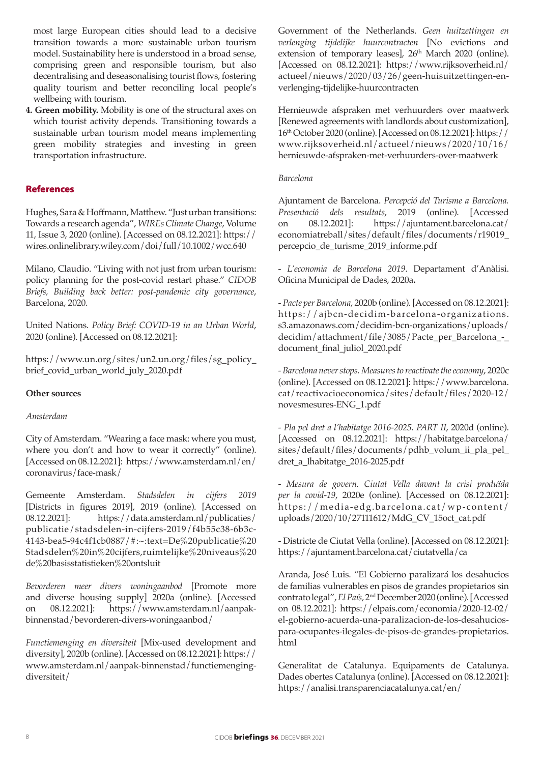most large European cities should lead to a decisive transition towards a more sustainable urban tourism model. Sustainability here is understood in a broad sense, comprising green and responsible tourism, but also decentralising and deseasonalising tourist flows, fostering quality tourism and better reconciling local people's wellbeing with tourism.

**4. Green mobility.** Mobility is one of the structural axes on which tourist activity depends. Transitioning towards a sustainable urban tourism model means implementing green mobility strategies and investing in green transportation infrastructure.

# References

Hughes, Sara & Hoffmann, Matthew. "Just urban transitions: Towards a research agenda", *WIREs Climate Change*, Volume 11, Issue 3, 2020 (online). [Accessed on 08.12.2021]: [https://](https://wires.onlinelibrary.wiley.com/doi/full/10.1002/wcc.640) [wires.onlinelibrary.wiley.com/doi/full/10.1002/wcc.640](https://wires.onlinelibrary.wiley.com/doi/full/10.1002/wcc.640)

Milano, Claudio. "Living with not just from urban tourism: policy planning for the post-covid restart phase." *CIDOB Briefs, Building back better: post-pandemic city governance*, Barcelona, 2020.

United Nations. *Policy Brief: COVID-19 in an Urban World*, 2020 (online). [Accessed on 08.12.2021]:

[https://www.un.org/sites/un2.un.org/files/sg\\_policy\\_](https://www.un.org/sites/un2.un.org/files/sg_policy_brief_covid_urban_world_july_2020.pdf) [brief\\_covid\\_urban\\_world\\_july\\_2020.pdf](https://www.un.org/sites/un2.un.org/files/sg_policy_brief_covid_urban_world_july_2020.pdf)

## **Other sources**

#### *Amsterdam*

City of Amsterdam. "Wearing a face mask: where you must, where you don't and how to wear it correctly" (online). [Accessed on 08.12.2021]: [https://www.amsterdam.nl/en/](https://www.amsterdam.nl/en/coronavirus/face-mask/) [coronavirus/face-mask/](https://www.amsterdam.nl/en/coronavirus/face-mask/)

Gemeente Amsterdam. *Stadsdelen in cijfers 2019* [Districts in figures 2019], 2019 (online). [Accessed on 08.12.2021]: https://data.amsterdam.nl/publicaties/ publicatie/stadsdelen-in-cijfers-2019/f4b55c38-6b3c-4143-bea5-94c4f1cb0887/#:~:text=De%20publicatie%20 Stadsdelen%20in%20cijfers,ruimtelijke%20niveaus%20 de%20basisstatistieken%20ontsluit

*Bevorderen meer divers woningaanbod* [Promote more and diverse housing supply] 2020a (online). [Accessed on 08.12.2021]: [https://www.amsterdam.nl/aanpak](https://www.amsterdam.nl/aanpak-binnenstad/bevorderen-divers-woningaanbod/)[binnenstad/bevorderen-divers-woningaanbod/](https://www.amsterdam.nl/aanpak-binnenstad/bevorderen-divers-woningaanbod/)

*Functiemenging en diversiteit* [Mix-used development and diversity], 2020b (online). [Accessed on 08.12.2021]: [https://](https://www.amsterdam.nl/aanpak-binnenstad/functiemenging-diversiteit/) [www.amsterdam.nl/aanpak-binnenstad/functiemenging](https://www.amsterdam.nl/aanpak-binnenstad/functiemenging-diversiteit/)[diversiteit/](https://www.amsterdam.nl/aanpak-binnenstad/functiemenging-diversiteit/)

Government of the Netherlands. *Geen huitzettingen en verlenging tijdelijke huurcontracten* [No evictions and extension of temporary leases], 26<sup>th</sup> March 2020 (online). [Accessed on 08.12.2021]: [https://www.rijksoverheid.nl/](https://www.rijksoverheid.nl/actueel/nieuws/2020/03/26/geen-huisuitzettingen-en-verlenging-tijdelijke-huurcontracten) [actueel/nieuws/2020/03/26/geen-huisuitzettingen-en](https://www.rijksoverheid.nl/actueel/nieuws/2020/03/26/geen-huisuitzettingen-en-verlenging-tijdelijke-huurcontracten)[verlenging-tijdelijke-huurcontracten](https://www.rijksoverheid.nl/actueel/nieuws/2020/03/26/geen-huisuitzettingen-en-verlenging-tijdelijke-huurcontracten) 

Hernieuwde afspraken met verhuurders over maatwerk [Renewed agreements with landlords about customization], 16th October 2020 (online). [Accessed on 08.12.2021]: [https://](https://www.rijksoverheid.nl/actueel/nieuws/2020/10/16/hernieuwde-afspraken-met-verhuurders-over-maatwerk) [www.rijksoverheid.nl/actueel/nieuws/2020/10/16/](https://www.rijksoverheid.nl/actueel/nieuws/2020/10/16/hernieuwde-afspraken-met-verhuurders-over-maatwerk) [hernieuwde-afspraken-met-verhuurders-over-maatwerk](https://www.rijksoverheid.nl/actueel/nieuws/2020/10/16/hernieuwde-afspraken-met-verhuurders-over-maatwerk)

#### *Barcelona*

Ajuntament de Barcelona. *Percepció del Turisme a Barcelona. Presentació dels resultats*, 2019 (online). [Accessed on 08.12.2021]: [https://ajuntament.barcelona.cat/](https://ajuntament.barcelona.cat/economiatreball/sites/default/files/documents/r19019_percepcio_de_turisme_2019_informe.pdf) [economiatreball/sites/default/files/documents/r19019\\_](https://ajuntament.barcelona.cat/economiatreball/sites/default/files/documents/r19019_percepcio_de_turisme_2019_informe.pdf) [percepcio\\_de\\_turisme\\_2019\\_informe.pdf](https://ajuntament.barcelona.cat/economiatreball/sites/default/files/documents/r19019_percepcio_de_turisme_2019_informe.pdf)

- *L'economia de Barcelona 2019*. Departament d'Anàlisi. Oficina Municipal de Dades, 2020a**.** 

- *Pacte per Barcelona*, 2020b (online). [Accessed on 08.12.2021]: [https://ajbcn-decidim-barcelona-organizations.](https://ajbcn-decidim-barcelona-organizations.s3.amazonaws.com/decidim-bcn-organizations/uploads/decidim/attachment/file/3085/Pacte_per_Barcelona_-_document_final_juliol_2020.pdf) [s3.amazonaws.com/decidim-bcn-organizations/uploads/](https://ajbcn-decidim-barcelona-organizations.s3.amazonaws.com/decidim-bcn-organizations/uploads/decidim/attachment/file/3085/Pacte_per_Barcelona_-_document_final_juliol_2020.pdf) [decidim/attachment/file/3085/Pacte\\_per\\_Barcelona\\_-\\_](https://ajbcn-decidim-barcelona-organizations.s3.amazonaws.com/decidim-bcn-organizations/uploads/decidim/attachment/file/3085/Pacte_per_Barcelona_-_document_final_juliol_2020.pdf) [document\\_final\\_juliol\\_2020.pdf](https://ajbcn-decidim-barcelona-organizations.s3.amazonaws.com/decidim-bcn-organizations/uploads/decidim/attachment/file/3085/Pacte_per_Barcelona_-_document_final_juliol_2020.pdf) 

- *Barcelona never stops. Measures to reactivate the economy*, 2020c (online). [Accessed on 08.12.2021]: [https://www.barcelona.](https://www.barcelona.cat/reactivacioeconomica/sites/default/files/2020-12/novesmesures-ENG_1.pdf) [cat/reactivacioeconomica/sites/default/files/2020-12/](https://www.barcelona.cat/reactivacioeconomica/sites/default/files/2020-12/novesmesures-ENG_1.pdf) [novesmesures-ENG\\_1.pdf](https://www.barcelona.cat/reactivacioeconomica/sites/default/files/2020-12/novesmesures-ENG_1.pdf) 

- *Pla pel dret a l'habitatge 2016-2025. PART II*, 2020d (online). [Accessed on 08.12.2021]: [https://habitatge.barcelona/](https://habitatge.barcelona/sites/default/files/documents/pdhb_volum_ii_pla_pel_dret_a_lhabitatge_2016-2025.pdf) [sites/default/files/documents/pdhb\\_volum\\_ii\\_pla\\_pel\\_](https://habitatge.barcelona/sites/default/files/documents/pdhb_volum_ii_pla_pel_dret_a_lhabitatge_2016-2025.pdf) [dret\\_a\\_lhabitatge\\_2016-2025.pdf](https://habitatge.barcelona/sites/default/files/documents/pdhb_volum_ii_pla_pel_dret_a_lhabitatge_2016-2025.pdf) 

- *Mesura de govern. Ciutat Vella davant la crisi produïda per la covid-19*, 2020e (online). [Accessed on 08.12.2021]: [https://media-edg.barcelona.cat/wp-content/](https://media-edg.barcelona.cat/wp-content/uploads/2020/10/27111612/MdG_CV_15oct_cat.pdf) [uploads/2020/10/27111612/MdG\\_CV\\_15oct\\_cat.pdf](https://media-edg.barcelona.cat/wp-content/uploads/2020/10/27111612/MdG_CV_15oct_cat.pdf)

- Districte de Ciutat Vella (online). [Accessed on 08.12.2021]: <https://ajuntament.barcelona.cat/ciutatvella/ca>

Aranda, José Luis. "El Gobierno paralizará los desahucios de familias vulnerables en pisos de grandes propietarios sin contrato legal", *El País,* 2nd December 2020 (online). [Accessed on 08.12.2021]: [https://elpais.com/economia/2020-12-02/](https://elpais.com/economia/2020-12-02/el-gobierno-acuerda-una-paralizacion-de-los-desahucios-para-ocupantes-ilegales-de-pisos-de-grandes-propietarios.html) [el-gobierno-acuerda-una-paralizacion-de-los-desahucios](https://elpais.com/economia/2020-12-02/el-gobierno-acuerda-una-paralizacion-de-los-desahucios-para-ocupantes-ilegales-de-pisos-de-grandes-propietarios.html)[para-ocupantes-ilegales-de-pisos-de-grandes-propietarios.](https://elpais.com/economia/2020-12-02/el-gobierno-acuerda-una-paralizacion-de-los-desahucios-para-ocupantes-ilegales-de-pisos-de-grandes-propietarios.html) [html](https://elpais.com/economia/2020-12-02/el-gobierno-acuerda-una-paralizacion-de-los-desahucios-para-ocupantes-ilegales-de-pisos-de-grandes-propietarios.html)

Generalitat de Catalunya. Equipaments de Catalunya. Dades obertes Catalunya (online). [Accessed on 08.12.2021]: <https://analisi.transparenciacatalunya.cat/en/>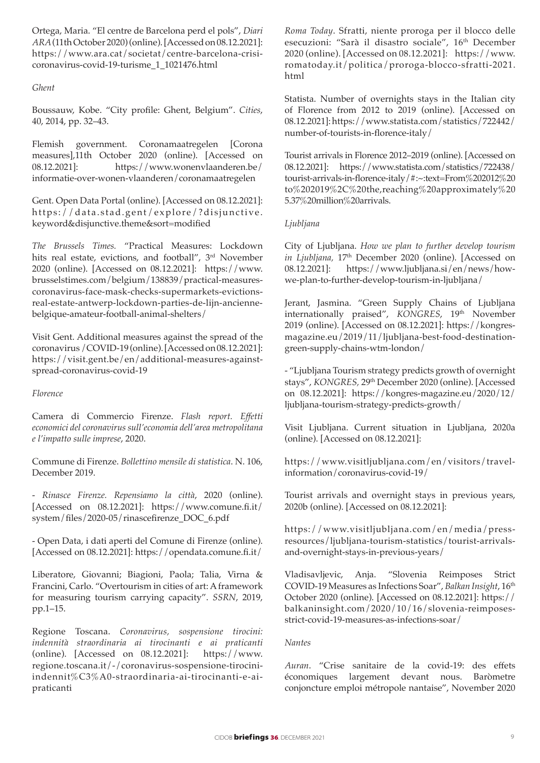Ortega, Maria. "El centre de Barcelona perd el pols", *Diari ARA* (11th October 2020) (online). [Accessed on 08.12.2021]: [https://www.ara.cat/societat/centre-barcelona-crisi](https://www.ara.cat/societat/centre-barcelona-crisi-coronavirus-covid-19-turisme_1_1021476.html)[coronavirus-covid-19-turisme\\_1\\_1021476.html](https://www.ara.cat/societat/centre-barcelona-crisi-coronavirus-covid-19-turisme_1_1021476.html)

## *Ghent*

Boussauw, Kobe. "City profile: Ghent, Belgium". *Cities*, 40, 2014, pp. 32–43.

Flemish government. Coronamaatregelen [Corona measures],11th October 2020 (online). [Accessed on 08.12.2021]: [https://www.wonenvlaanderen.be/](https://www.wonenvlaanderen.be/informatie-over-wonen-vlaanderen/coronamaatregelen) [informatie-over-wonen-vlaanderen/coronamaatregelen](https://www.wonenvlaanderen.be/informatie-over-wonen-vlaanderen/coronamaatregelen) 

Gent. Open Data Portal (online). [Accessed on 08.12.2021]: [https://data.stad.gent/explore/?disjunctive.](https://data.stad.gent/explore/?disjunctive.keyword&disjunctive.theme&sort=modified) [keyword&disjunctive.theme&sort=modified](https://data.stad.gent/explore/?disjunctive.keyword&disjunctive.theme&sort=modified)

*The Brussels Times.* "Practical Measures: Lockdown hits real estate, evictions, and football", 3<sup>rd</sup> November 2020 (online). [Accessed on 08.12.2021]: [https://www.](https://www.brusselstimes.com/belgium/138839/practical-measures-coronavirus-face-mask-checks-supermarkets-evictions-real-estate-antwerp-lockdown-parties-de-lijn-ancienne-belgique-amateur-football-animal-shelters/) [brusselstimes.com/belgium/138839/practical-measures](https://www.brusselstimes.com/belgium/138839/practical-measures-coronavirus-face-mask-checks-supermarkets-evictions-real-estate-antwerp-lockdown-parties-de-lijn-ancienne-belgique-amateur-football-animal-shelters/)[coronavirus-face-mask-checks-supermarkets-evictions](https://www.brusselstimes.com/belgium/138839/practical-measures-coronavirus-face-mask-checks-supermarkets-evictions-real-estate-antwerp-lockdown-parties-de-lijn-ancienne-belgique-amateur-football-animal-shelters/)[real-estate-antwerp-lockdown-parties-de-lijn-ancienne](https://www.brusselstimes.com/belgium/138839/practical-measures-coronavirus-face-mask-checks-supermarkets-evictions-real-estate-antwerp-lockdown-parties-de-lijn-ancienne-belgique-amateur-football-animal-shelters/)[belgique-amateur-football-animal-shelters/](https://www.brusselstimes.com/belgium/138839/practical-measures-coronavirus-face-mask-checks-supermarkets-evictions-real-estate-antwerp-lockdown-parties-de-lijn-ancienne-belgique-amateur-football-animal-shelters/) 

Visit Gent. Additional measures against the spread of the coronavirus /COVID-19 (online). [Accessed on 08.12.2021]: [https://visit.gent.be/en/additional-measures-against](https://visit.gent.be/en/additional-measures-against-spread-coronavirus-covid-19)[spread-coronavirus-covid-19](https://visit.gent.be/en/additional-measures-against-spread-coronavirus-covid-19)

#### *Florence*

Camera di Commercio Firenze. *Flash report. Effetti economici del coronavirus sull'economia dell'area metropolitana e l'impatto sulle imprese*, 2020.

Commune di Firenze. *Bollettino mensile di statistica*. N. 106, December 2019.

- *Rinasce Firenze. Repensiamo la città*, 2020 (online). [Accessed on 08.12.2021]: [https://www.comune.fi.it/](https://www.comune.fi.it/system/files/2020-05/rinascefirenze_DOC_6.pdf) [system/files/2020-05/rinascefirenze\\_DOC\\_6.pdf](https://www.comune.fi.it/system/files/2020-05/rinascefirenze_DOC_6.pdf) 

- Open Data, i dati aperti del Comune di Firenze (online). [Accessed on 08.12.2021]:<https://opendata.comune.fi.it/>

Liberatore, Giovanni; Biagioni, Paola; Talia, Virna & Francini, Carlo. "Overtourism in cities of art: A framework for measuring tourism carrying capacity". *SSRN*, 2019, pp.1–15.

Regione Toscana. *Coronavirus, sospensione tirocini: indennità straordinaria ai tirocinanti e ai praticanti* (online). [Accessed on 08.12.2021]: [https://www.](https://www.regione.toscana.it/-/coronavirus-sospensione-tirocini-indennit%C3%A0-straordinaria-ai-tirocinanti-e-ai-praticanti) [regione.toscana.it/-/coronavirus-sospensione-tirocini](https://www.regione.toscana.it/-/coronavirus-sospensione-tirocini-indennit%C3%A0-straordinaria-ai-tirocinanti-e-ai-praticanti)[indennit%C3%A0-straordinaria-ai-tirocinanti-e-ai](https://www.regione.toscana.it/-/coronavirus-sospensione-tirocini-indennit%C3%A0-straordinaria-ai-tirocinanti-e-ai-praticanti)[praticanti](https://www.regione.toscana.it/-/coronavirus-sospensione-tirocini-indennit%C3%A0-straordinaria-ai-tirocinanti-e-ai-praticanti)

*Roma Today*. Sfratti, niente proroga per il blocco delle esecuzioni: "Sarà il disastro sociale", 16<sup>th</sup> December 2020 (online). [Accessed on 08.12.2021]: [https://www.](https://www.romatoday.it/politica/proroga-blocco-sfratti-2021.html) [romatoday.it/politica/proroga-blocco-sfratti-2021.](https://www.romatoday.it/politica/proroga-blocco-sfratti-2021.html) [html](https://www.romatoday.it/politica/proroga-blocco-sfratti-2021.html) 

Statista. Number of overnights stays in the Italian city of Florence from 2012 to 2019 (online). [Accessed on 08.12.2021]: [https://www.statista.com/statistics/722442/](https://www.statista.com/statistics/722442/number-of-tourists-in-florence-italy/) [number-of-tourists-in-florence-italy/](https://www.statista.com/statistics/722442/number-of-tourists-in-florence-italy/)

Tourist arrivals in Florence 2012–2019 (online). [Accessed on 08.12.2021]: https://www.statista.com/statistics/722438/ tourist-arrivals-in-florence-italy/#:~:text=From%202012%20 to%202019%2C%20the,reaching%20approximately%20 5.37%20million%20arrivals.

## *Ljubljana*

City of Ljubljana. *How we plan to further develop tourism*  in Ljubljana, 17<sup>th</sup> December 2020 (online). [Accessed on 08.12.2021]: [https://www.ljubljana.si/en/news/how](https://www.ljubljana.si/en/news/how-we-plan-to-further-develop-tourism-in-ljubljana/)[we-plan-to-further-develop-tourism-in-ljubljana/](https://www.ljubljana.si/en/news/how-we-plan-to-further-develop-tourism-in-ljubljana/)

Jerant, Jasmina. "Green Supply Chains of Ljubljana internationally praised", *KONGRES*, 19<sup>th</sup> November 2019 (online). [Accessed on 08.12.2021]: [https://kongres](https://kongres-magazine.eu/2019/11/ljubljana-best-food-destination-green-supply-chains-wtm-london/)[magazine.eu/2019/11/ljubljana-best-food-destination](https://kongres-magazine.eu/2019/11/ljubljana-best-food-destination-green-supply-chains-wtm-london/)[green-supply-chains-wtm-london/](https://kongres-magazine.eu/2019/11/ljubljana-best-food-destination-green-supply-chains-wtm-london/)

- "Ljubljana Tourism strategy predicts growth of overnight stays", *KONGRES,* 29th December 2020 (online). [Accessed on 08.12.2021]: [https://kongres-magazine.eu/2020/12/](https://kongres-magazine.eu/2020/12/ljubljana-tourism-strategy-predicts-growth/) [ljubljana-tourism-strategy-predicts-growth/](https://kongres-magazine.eu/2020/12/ljubljana-tourism-strategy-predicts-growth/)

Visit Ljubljana. Current situation in Ljubljana, 2020a (online). [Accessed on 08.12.2021]:

[https://www.visitljubljana.com/en/visitors/travel](https://www.visitljubljana.com/en/visitors/travel-information/coronavirus-covid-19/)[information/coronavirus-covid-19/](https://www.visitljubljana.com/en/visitors/travel-information/coronavirus-covid-19/)

Tourist arrivals and overnight stays in previous years, 2020b (online). [Accessed on 08.12.2021]:

[https://www.visitljubljana.com/en/media/press](https://www.visitljubljana.com/en/media/press-resources/ljubljana-tourism-statistics/tourist-arrivals-and-overnight-stays-in-previous-years/)[resources/ljubljana-tourism-statistics/tourist-arrivals](https://www.visitljubljana.com/en/media/press-resources/ljubljana-tourism-statistics/tourist-arrivals-and-overnight-stays-in-previous-years/)[and-overnight-stays-in-previous-years/](https://www.visitljubljana.com/en/media/press-resources/ljubljana-tourism-statistics/tourist-arrivals-and-overnight-stays-in-previous-years/)

Vladisavljevic, Anja. "Slovenia Reimposes Strict COVID-19 Measures as Infections Soar", *Balkan Insight*, 16th October 2020 (online). [Accessed on 08.12.2021]: [https://](https://balkaninsight.com/2020/10/16/slovenia-reimposes-strict-covid-19-measures-as-infections-soar/) [balkaninsight.com/2020/10/16/slovenia-reimposes](https://balkaninsight.com/2020/10/16/slovenia-reimposes-strict-covid-19-measures-as-infections-soar/)[strict-covid-19-measures-as-infections-soar/](https://balkaninsight.com/2020/10/16/slovenia-reimposes-strict-covid-19-measures-as-infections-soar/)

## *Nantes*

*Auran*. "Crise sanitaire de la covid-19: des effets économiques largement devant nous. Baròmetre conjoncture emploi métropole nantaise", November 2020